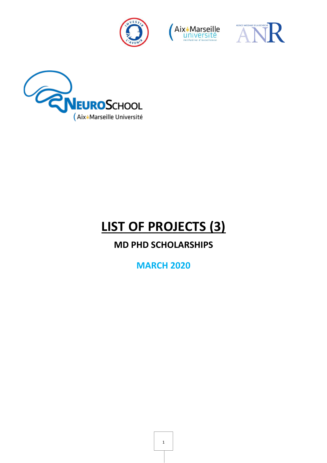







# **LIST OF PROJECTS (3)**

# **MD PHD SCHOLARSHIPS**

**MARCH 2020**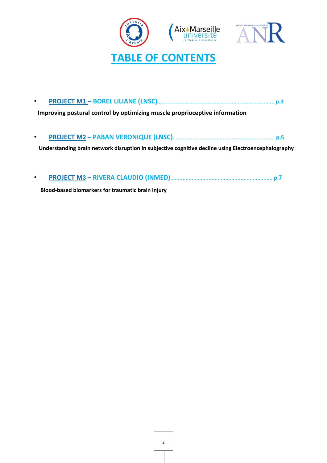



|--|--|

 **Improving postural control by optimizing muscle proprioceptive information**

• **PROJECT M2 – PABAN VERONIQUE (LNSC)**…................................................................ **p.5**

**Understanding brain network disruption in subjective cognitive decline using Electroencephalography** 

• **PROJECT M3 – RIVERA CLAUDIO (INMED)**................................................................... **p.7**

 **Blood-based biomarkers for traumatic brain injury**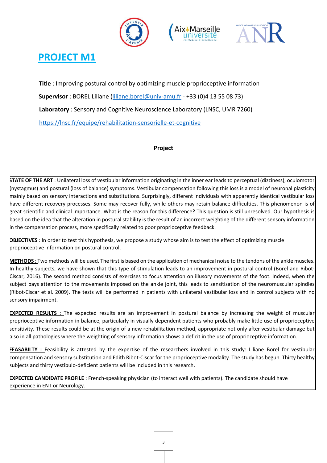





# **PROJECT M1**

**Title** : Improving postural control by optimizing muscle proprioceptive information **Supervisor** : BOREL Liliane (liliane.borel@univ-amu.fr - +33 (0)4 13 55 08 73) **Laboratory** : Sensory and Cognitive Neuroscience Laboratory (LNSC, UMR 7260) https://lnsc.fr/equipe/rehabilitation-sensorielle-et-cognitive

#### **Project**

**STATE OF THE ART** : Unilateral loss of vestibular information originating in the inner ear leads to perceptual (dizziness), oculomotor (nystagmus) and postural (loss of balance) symptoms. Vestibular compensation following this loss is a model of neuronal plasticity mainly based on sensory interactions and substitutions. Surprisingly, different individuals with apparently identical vestibular loss have different recovery processes. Some may recover fully, while others may retain balance difficulties. This phenomenon is of great scientific and clinical importance. What is the reason for this difference? This question is still unresolved. Our hypothesis is based on the idea that the alteration in postural stability is the result of an incorrect weighting of the different sensory information in the compensation process, more specifically related to poor proprioceptive feedback.

**OBJECTIVES** : In order to test this hypothesis, we propose a study whose aim is to test the effect of optimizing muscle proprioceptive information on postural control.

**METHODS** : Two methods will be used. The first is based on the application of mechanical noise to the tendons of the ankle muscles. In healthy subjects, we have shown that this type of stimulation leads to an improvement in postural control (Borel and Ribot-Ciscar, 2016). The second method consists of exercises to focus attention on illusory movements of the foot. Indeed, when the subject pays attention to the movements imposed on the ankle joint, this leads to sensitisation of the neuromuscular spindles (Ribot-Ciscar et al. 2009). The tests will be performed in patients with unilateral vestibular loss and in control subjects with no sensory impairment.

**EXPECTED RESULTS** : The expected results are an improvement in postural balance by increasing the weight of muscular proprioceptive information in balance, particularly in visually dependent patients who probably make little use of proprioceptive sensitivity. These results could be at the origin of a new rehabilitation method, appropriate not only after vestibular damage but also in all pathologies where the weighting of sensory information shows a deficit in the use of proprioceptive information.

FEASABILTY : Feasibility is attested by the expertise of the researchers involved in this study: Liliane Borel for vestibular compensation and sensory substitution and Edith Ribot-Ciscar for the proprioceptive modality. The study has begun. Thirty healthy subjects and thirty vestibulo-deficient patients will be included in this research.

**EXPECTED CANDIDATE PROFILE** : French-speaking physician (to interact well with patients). The candidate should have experience in ENT or Neurology.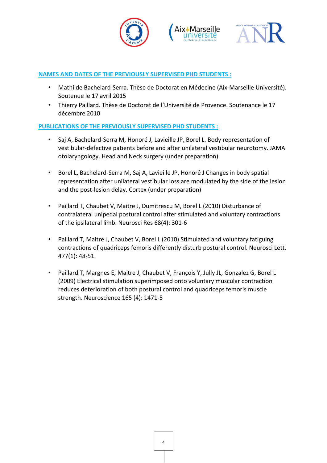





#### **NAMES AND DATES OF THE PREVIOUSLY SUPERVISED PHD STUDENTS :**

- Mathilde Bachelard-Serra. Thèse de Doctorat en Médecine (Aix-Marseille Université). Soutenue le 17 avril 2015
- Thierry Paillard. Thèse de Doctorat de l'Université de Provence. Soutenance le 17 décembre 2010

#### **PUBLICATIONS OF THE PREVIOUSLY SUPERVISED PHD STUDENTS :**

- Saj A, Bachelard-Serra M, Honoré J, Lavieille JP, Borel L. Body representation of vestibular-defective patients before and after unilateral vestibular neurotomy. JAMA otolaryngology. Head and Neck surgery (under preparation)
- Borel L, Bachelard-Serra M, Saj A, Lavieille JP, Honoré J Changes in body spatial representation after unilateral vestibular loss are modulated by the side of the lesion and the post-lesion delay. Cortex (under preparation)
- Paillard T, Chaubet V, Maitre J, Dumitrescu M, Borel L (2010) Disturbance of contralateral unipedal postural control after stimulated and voluntary contractions of the ipsilateral limb. Neurosci Res 68(4): 301-6
- Paillard T, Maitre J, Chaubet V, Borel L (2010) Stimulated and voluntary fatiguing contractions of quadriceps femoris differently disturb postural control. Neurosci Lett. 477(1): 48-51.
- Paillard T, Margnes E, Maitre J, Chaubet V, François Y, Jully JL, Gonzalez G, Borel L (2009) Electrical stimulation superimposed onto voluntary muscular contraction reduces deterioration of both postural control and quadriceps femoris muscle strength. Neuroscience 165 (4): 1471-5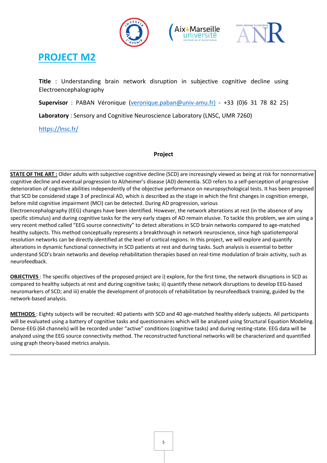





## **PROJECT M2**

**Title** : Understanding brain network disruption in subjective cognitive decline using Electroencephalography

**Supervisor** : PABAN Véronique (veronique.paban@univ-amu.fr) - +33 (0)6 31 78 82 25)

**Laboratory** : Sensory and Cognitive Neuroscience Laboratory (LNSC, UMR 7260)

https://lnsc.fr/

#### **Project**

**STATE OF THE ART :** Older adults with subjective cognitive decline (SCD) are increasingly viewed as being at risk for nonnormative cognitive decline and eventual progression to Alzheimer's disease (AD) dementia. SCD refers to a self-perception of progressive deterioration of cognitive abilities independently of the objective performance on neuropsychological tests. It has been proposed that SCD be considered stage 3 of preclinical AD, which is described as the stage in which the first changes in cognition emerge, before mild cognitive impairment (MCI) can be detected. During AD progression, various

Electroencephalography (EEG) changes have been identified. However, the network alterations at rest (in the absence of any specific stimulus) and during cognitive tasks for the very early stages of AD remain elusive. To tackle this problem, we aim using a very recent method called "EEG source connectivity" to detect alterations in SCD brain networks compared to age-matched healthy subjects. This method conceptually represents a breakthrough in network neuroscience, since high spatiotemporal resolution networks can be directly identified at the level of cortical regions. In this project, we will explore and quantify alterations in dynamic functional connectivity in SCD patients at rest and during tasks. Such analysis is essential to better understand SCD's brain networks and develop rehabilitation therapies based on real-time modulation of brain activity, such as neurofeedback.

**OBJECTIVES** : The specific objectives of the proposed project are i) explore, for the first time, the network disruptions in SCD as compared to healthy subjects at rest and during cognitive tasks; ii) quantify these network disruptions to develop EEG-based neuromarkers of SCD; and iii) enable the development of protocols of rehabilitation by neurofeedback training, guided by the network-based analysis.

**METHODS** : Eighty subjects will be recruited: 40 patients with SCD and 40 age-matched healthy elderly subjects. All participants will be evaluated using a battery of cognitive tasks and questionnaires which will be analyzed using Structural Equation Modeling. Dense-EEG (64 channels) will be recorded under "active" conditions (cognitive tasks) and during resting-state. EEG data will be analyzed using the EEG source connectivity method. The reconstructed functional networks will be characterized and quantified using graph theory-based metrics analysis.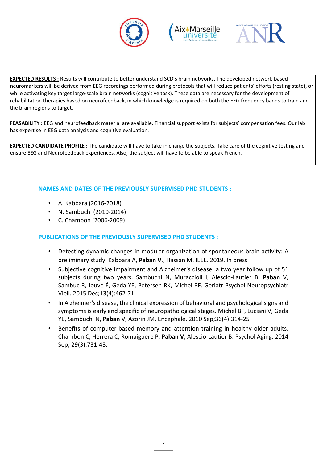





**EXPECTED RESULTS :** Results will contribute to better understand SCD's brain networks. The developed network-based neuromarkers will be derived from EEG recordings performed during protocols that will reduce patients' efforts (resting state), or while activating key target large-scale brain networks (cognitive task). These data are necessary for the development of rehabilitation therapies based on neurofeedback, in which knowledge is required on both the EEG frequency bands to train and the brain regions to target.

**FEASABILITY :** EEG and neurofeedback material are available. Financial support exists for subjects' compensation fees. Our lab has expertise in EEG data analysis and cognitive evaluation.

**EXPECTED CANDIDATE PROFILE :** The candidate will have to take in charge the subjects. Take care of the cognitive testing and ensure EEG and Neurofeedback experiences. Also, the subject will have to be able to speak French.

#### **NAMES AND DATES OF THE PREVIOUSLY SUPERVISED PHD STUDENTS :**

- A. Kabbara (2016-2018)
- N. Sambuchi (2010-2014)
- C. Chambon (2006-2009)

#### **PUBLICATIONS OF THE PREVIOUSLY SUPERVISED PHD STUDENTS :**

- Detecting dynamic changes in modular organization of spontaneous brain activity: A preliminary study. Kabbara A, **Paban V**., Hassan M. IEEE. 2019. In press
- Subjective cognitive impairment and Alzheimer's disease: a two year follow up of 51 subjects during two years. Sambuchi N, Muraccioli I, Alescio-Lautier B, **Paban** V, Sambuc R, Jouve É, Geda YE, Petersen RK, Michel BF. Geriatr Psychol Neuropsychiatr Vieil. 2015 Dec;13(4):462-71.
- In Alzheimer's disease, the clinical expression of behavioral and psychological signs and symptoms is early and specific of neuropathological stages. Michel BF, Luciani V, Geda YE, Sambuchi N, **Paban** V, Azorin JM. Encephale. 2010 Sep;36(4):314-25
- Benefits of computer-based memory and attention training in healthy older adults. Chambon C, Herrera C, Romaiguere P, **Paban V**, Alescio-Lautier B. Psychol Aging. 2014 Sep; 29(3):731-43.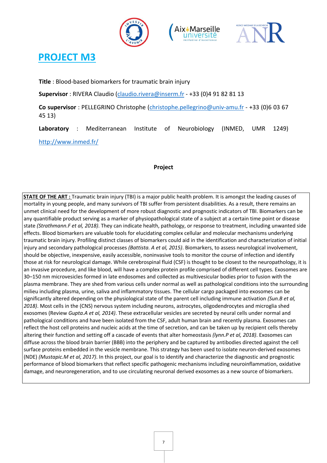





## **PROJECT M3**

**Title** : Blood-based biomarkers for traumatic brain injury

**Supervisor** : RIVERA Claudio (claudio.rivera@inserm.fr - +33 (0)4 91 82 81 13

**Co supervisor** : PELLEGRINO Christophe (christophe.pellegrino@univ-amu.fr - +33 (0)6 03 67 45 13)

**Laboratory** : Mediterranean Institute of Neurobiology (INMED, UMR 1249) http://www.inmed.fr/

#### **Project**

**STATE OF THE ART :** Traumatic brain injury (TBI) is a major public health problem. It is amongst the leading causes of mortality in young people, and many survivors of TBI suffer from persistent disabilities. As a result, there remains an unmet clinical need for the development of more robust diagnostic and prognostic indicators of TBI. Biomarkers can be any quantifiable product serving as a marker of physiopathological state of a subject at a certain time point or disease state *(Strathmann.F et al, 2018)*. They can indicate health, pathology, or response to treatment, including unwanted side effects. Blood biomarkers are valuable tools for elucidating complex cellular and molecular mechanisms underlying traumatic brain injury. Profiling distinct classes of biomarkers could aid in the identification and characterization of initial injury and secondary pathological processes *(Battista. A et al, 2015)*. Biomarkers, to assess neurological involvement, should be objective, inexpensive, easily accessible, noninvasive tools to monitor the course of infection and identify those at risk for neurological damage. While cerebrospinal fluid (CSF) is thought to be closest to the neuropathology, it is an invasive procedure, and like blood, will have a complex protein profile comprised of different cell types. Exosomes are 30–150 nm microvesicles formed in late endosomes and collected as multivesicular bodies prior to fusion with the plasma membrane. They are shed from various cells under normal as well as pathological conditions into the surrounding milieu including plasma, urine, saliva and inflammatory tissues. The cellular cargo packaged into exosomes can be significantly altered depending on the physiological state of the parent cell including immune activation *(Sun.B et al, 2018)*. Most cells in the (CNS) nervous system including neurons, astrocytes, oligodendrocytes and microglia shed exosomes (Review *Gupta.A et al, 2014)*. These extracellular vesicles are secreted by neural cells under normal and pathological conditions and have been isolated from the CSF, adult human brain and recently plasma. Exosomes can reflect the host cell proteins and nucleic acids at the time of secretion, and can be taken up by recipient cells thereby altering their function and setting off a cascade of events that alter homeostasis *(lynn.P et al, 2018)*. Exosomes can diffuse across the blood brain barrier (BBB) into the periphery and be captured by antibodies directed against the cell surface proteins embedded in the vesicle membrane. This strategy has been used to isolate neuron-derived exosomes (NDE) *(Mustapic.M et al, 2017)*. In this project, our goal is to identify and characterize the diagnostic and prognostic performance of blood biomarkers that reflect specific pathogenic mechanisms including neuroinflammation, oxidative damage, and neuroregeneration, and to use circulating neuronal derived exosomes as a new source of biomarkers.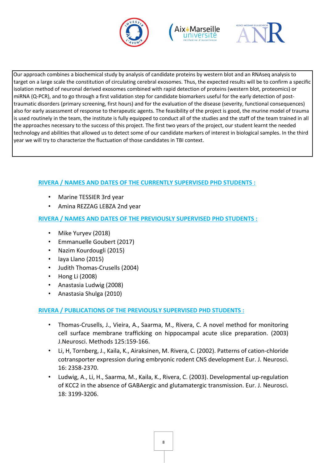





Our approach combines a biochemical study by analysis of candidate proteins by western blot and an RNAseq analysis to target on a large scale the constitution of circulating cerebral exosomes. Thus, the expected results will be to confirm a specific isolation method of neuronal derived exosomes combined with rapid detection of proteins (western blot, proteomics) or miRNA (Q-PCR), and to go through a first validation step for candidate biomarkers useful for the early detection of posttraumatic disorders (primary screening, first hours) and for the evaluation of the disease (severity, functional consequences) also for early assessment of response to therapeutic agents. The feasibility of the project is good, the murine model of trauma is used routinely in the team, the institute is fully equipped to conduct all of the studies and the staff of the team trained in all the approaches necessary to the success of this project. The first two years of the project, our student learnt the needed technology and abilities that allowed us to detect some of our candidate markers of interest in biological samples. In the third year we will try to characterize the fluctuation of those candidates in TBI context.

### **RIVERA / NAMES AND DATES OF THE CURRENTLY SUPERVISED PHD STUDENTS :**

- Marine TESSIER 3rd year
- Amina REZZAG LEBZA 2nd year

### **RIVERA / NAMES AND DATES OF THE PREVIOUSLY SUPERVISED PHD STUDENTS :**

- Mike Yuryev (2018)
- Emmanuelle Goubert (2017)
- Nazim Kourdougli (2015)
- laya Llano (2015)
- Judith Thomas-Crusells (2004)
- Hong Li (2008)
- Anastasia Ludwig (2008)
- Anastasia Shulga (2010)

### **RIVERA / PUBLICATIONS OF THE PREVIOUSLY SUPERVISED PHD STUDENTS :**

- Thomas-Crusells, J., Vieira, A., Saarma, M., Rivera, C. A novel method for monitoring cell surface membrane trafficking on hippocampal acute slice preparation. (2003) J.Neurosci. Methods 125:159-166.
- Li, H, Tornberg, J., Kaila, K., Airaksinen, M. Rivera, C. (2002). Patterns of cation-chloride cotransporter expression during embryonic rodent CNS development Eur. J. Neurosci. 16: 2358-2370.
- Ludwig, A., Li, H., Saarma, M., Kaila, K., Rivera, C. (2003). Developmental up-regulation of KCC2 in the absence of GABAergic and glutamatergic transmission. Eur. J. Neurosci. 18: 3199-3206.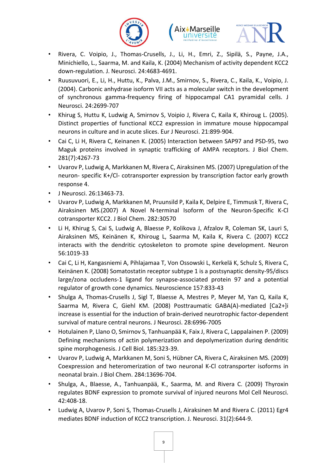





- Rivera, C. Voipio, J., Thomas-Crusells, J., Li, H., Emri, Z., Sipilä, S., Payne, J.A., Minichiello, L., Saarma, M. and Kaila, K. (2004) Mechanism of activity dependent KCC2 down-regulation. J. Neurosci. 24:4683-4691.
- Ruusuvuori, E., Li, H., Huttu, K., Palva, J.M., Smirnov, S., Rivera, C., Kaila, K., Voipio, J. (2004). Carbonic anhydrase isoform VII acts as a molecular switch in the development of synchronous gamma-frequency firing of hippocampal CA1 pyramidal cells. J Neurosci. 24:2699-707
- Khirug S, Huttu K, Ludwig A, Smirnov S, Voipio J, Rivera C, Kaila K, Khiroug L. (2005). Distinct properties of functional KCC2 expression in immature mouse hippocampal neurons in culture and in acute slices. Eur J Neurosci. 21:899-904.
- Cai C, Li H, Rivera C, Keinanen K. (2005) Interaction between SAP97 and PSD-95, two Maguk proteins involved in synaptic trafficking of AMPA receptors. J Biol Chem. 281(7):4267-73
- Uvarov P, Ludwig A, Markkanen M, Rivera C, Airaksinen MS. (2007) Upregulation of the neuron- specific K+/Cl- cotransporter expression by transcription factor early growth response 4.
- J Neurosci. 26:13463-73.
- Uvarov P, Ludwig A, Markkanen M, Pruunsild P, Kaila K, Delpire E, Timmusk T, Rivera C, Airaksinen MS.(2007) A Novel N-terminal Isoform of the Neuron-Specific K-Cl cotransporter KCC2. J Biol Chem. 282:30570
- Li H, Khirug S, Cai S, Ludwig A, Blaesse P, Kolikova J, Afzalov R, Coleman SK, Lauri S, Airaksinen MS, Keinänen K, Khiroug L, Saarma M, Kaila K, Rivera C. (2007) KCC2 interacts with the dendritic cytoskeleton to promote spine development. Neuron 56:1019-33
- Cai C, Li H, Kangasniemi A, Pihlajamaa T, Von Ossowski L, Kerkelä K, Schulz S, Rivera C, Keinänen K. (2008) Somatostatin receptor subtype 1 is a postsynaptic density-95/discs large/zona occludens-1 ligand for synapse-associated protein 97 and a potential regulator of growth cone dynamics. Neuroscience 157:833-43
- Shulga A, Thomas-Crusells J, Sigl T, Blaesse A, Mestres P, Meyer M, Yan Q, Kaila K, Saarma M, Rivera C, Giehl KM. (2008) Posttraumatic GABA(A)-mediated [Ca2+]i increase is essential for the induction of brain-derived neurotrophic factor-dependent survival of mature central neurons. J Neurosci. 28:6996-7005
- Hotulainen P, Llano O, Smirnov S, Tanhuanpää K, Faix J, Rivera C, Lappalainen P. (2009) Defining mechanisms of actin polymerization and depolymerization during dendritic spine morphogenesis. J Cell Biol. 185:323-39.
- Uvarov P, Ludwig A, Markkanen M, Soni S, Hübner CA, Rivera C, Airaksinen MS. (2009) Coexpression and heteromerization of two neuronal K-Cl cotransporter isoforms in neonatal brain. J Biol Chem. 284:13696-704.
- Shulga, A., Blaesse, A., Tanhuanpää, K., Saarma, M. and Rivera C. (2009) Thyroxin regulates BDNF expression to promote survival of injured neurons Mol Cell Neurosci. 42:408-18.
- Ludwig A, Uvarov P, Soni S, Thomas-Crusells J, Airaksinen M and Rivera C. (2011) Egr4 mediates BDNF induction of KCC2 transcription. J. Neurosci. 31(2):644-9.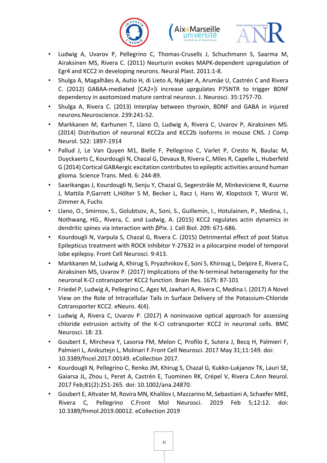





- Ludwig A, Uvarov P, Pellegrino C, Thomas-Crusells J, Schuchmann S, Saarma M, Airaksinen MS, Rivera C. (2011) Neurturin evokes MAPK-dependent upregulation of Egr4 and KCC2 in developing neurons. Neural Plast. 2011:1-8.
- Shulga A, Magalhães A, Autio H, di Lieto A, Nykjær A, Arumäe U, Castrén C and Rivera C. (2012) GABAA-mediated [CA2+]i increase uprgulates P75NTR to trigger BDNF dependency in axotomized mature central neurosn. J. Neurosci. 35:1757-70.
- Shulga A, Rivera C. (2013) Interplay between thyroxin, BDNF and GABA in injured neurons.Neuroscience. 239:241-52.
- Markkanen M, Karhunen T, Llano O, Ludwig A, Rivera C, Uvarov P, Airaksinen MS. (2014) Distribution of neuronal KCC2a and KCC2b isoforms in mouse CNS. J Comp Neurol. 522: 1897-1914
- Pallud J, Le Van Quyen M1, Bielle F, Pellegrino C, Varlet P, Cresto N, Baulac M, Duyckaerts C, Kourdougli N, Chazal G, Devaux B, Rivera C, Miles R, Capelle L, Huberfeld G (2014) Cortical GABAergic excitation contributes to epileptic activities around human glioma. Science Trans. Med. 6: 244-89.
- Saarikangas J, Kourdougli N, Senju Y, Chazal G, Segerstråle M, Minkeviciene R, Kuurne J, Mattila P,Garrett L,Hölter S M, Becker L, Racz I, Hans W, Klopstock T, Wurst W, Zimmer A, Fuchs
- Llano, O., Smirnov, S., Golubtsov, A., Soni, S., Guillemin, I., Hotulainen, P., Medina, I., Nothwang, HG., Rivera, C. and Ludwig, A. (2015) KCC2 regulates actin dynamics in dendritic spines via interaction with βPix. J. Cell Biol. 209: 671-686.
- Kourdougli N, Varpula S, Chazal G, Rivera C. (2015) Detrimental effect of post Status Epilepticus treatment with ROCK inhibitor Y-27632 in a pilocarpine model of temporal lobe epilepsy. Front Cell Neurosci. 9:413.
- Markkanen M, Ludwig A, Khirug S, Pryazhnikov E, Soni S, Khiroug L, Delpire E, Rivera C, Airaksinen MS, Uvarov P. (2017) Implications of the N-terminal heterogeneity for the neuronal K-Cl cotransporter KCC2 function. Brain Res. 1675: 87-101
- Friedel P, Ludwig A, Pellegrino C, Agez M, Jawhari A, Rivera C, Medina I. (2017) A Novel View on the Role of Intracellular Tails in Surface Delivery of the Potassium-Chloride Cotransporter KCC2. eNeuro. 4(4).
- Ludwig A, Rivera C, Uvarov P. (2017) A noninvasive optical approach for assessing chloride extrusion activity of the K-Cl cotransporter KCC2 in neuronal cells. BMC Neurosci. 18: 23.
- Goubert E, Mircheva Y, Lasorsa FM, Melon C, Profilo E, Sutera J, Becq H, Palmieri F, Palmieri L, Aniksztejn L, Molinari F.Front Cell Neurosci. 2017 May 31;11:149. doi: 10.3389/fncel.2017.00149. eCollection 2017.
- Kourdougli N, Pellegrino C, Renko JM, Khirug S, Chazal G, Kukko-Lukjanov TK, Lauri SE, Gaiarsa JL, Zhou L, Peret A, Castrén E, Tuominen RK, Crépel V, Rivera C.Ann Neurol. 2017 Feb;81(2):251-265. doi: 10.1002/ana.24870.
- Goubert E, Altvater M, Rovira MN, Khalilov I, Mazzarino M, Sebastiani A, Schaefer MKE, Rivera C, Pellegrino C.Front Mol Neurosci. 2019 Feb 5;12:12. doi: 10.3389/fnmol.2019.00012. eCollection 2019